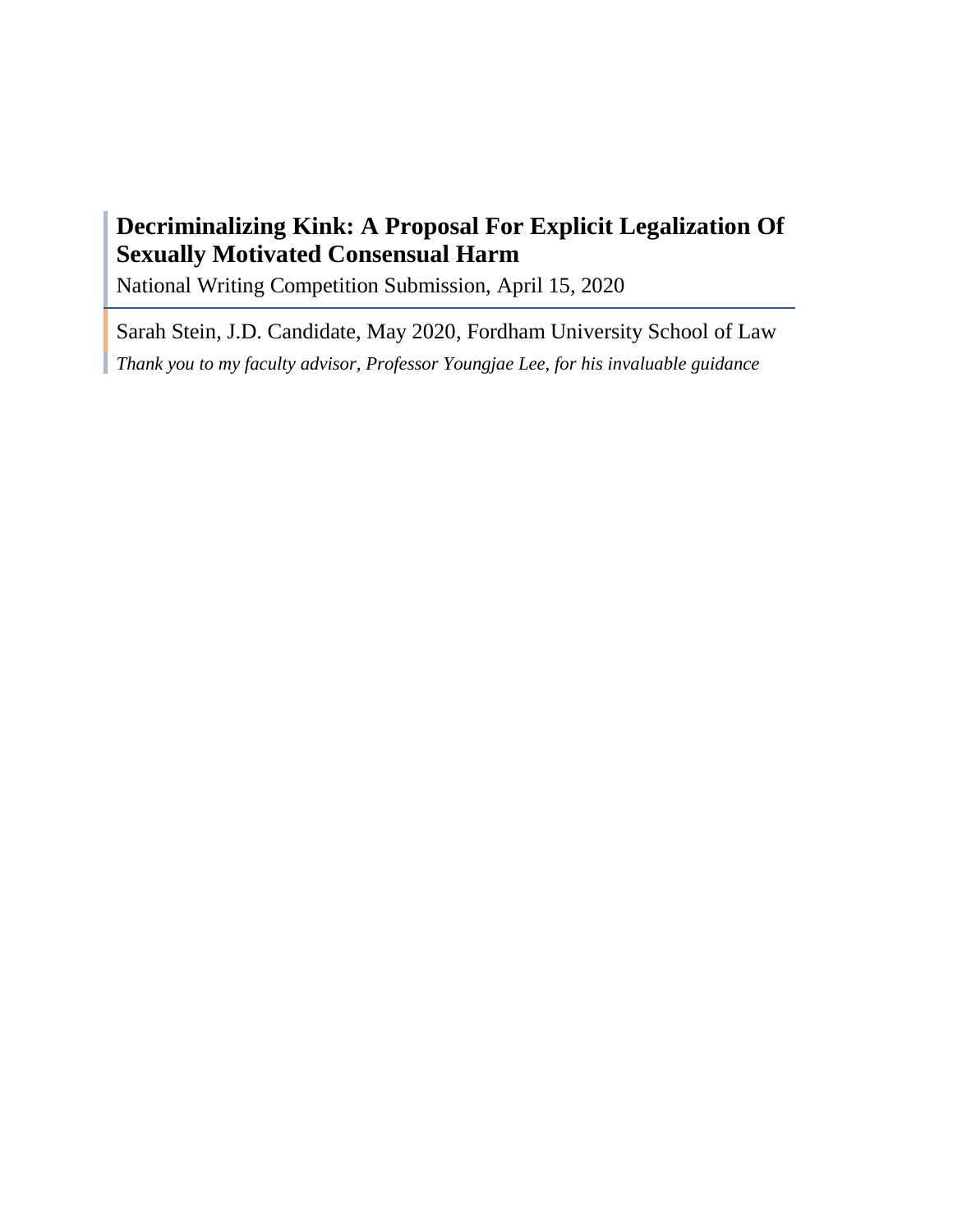# **Decriminalizing Kink: A Proposal For Explicit Legalization Of Sexually Motivated Consensual Harm**

National Writing Competition Submission, April 15, 2020

Sarah Stein, J.D. Candidate, May 2020, Fordham University School of Law *Thank you to my faculty advisor, Professor Youngjae Lee, for his invaluable guidance*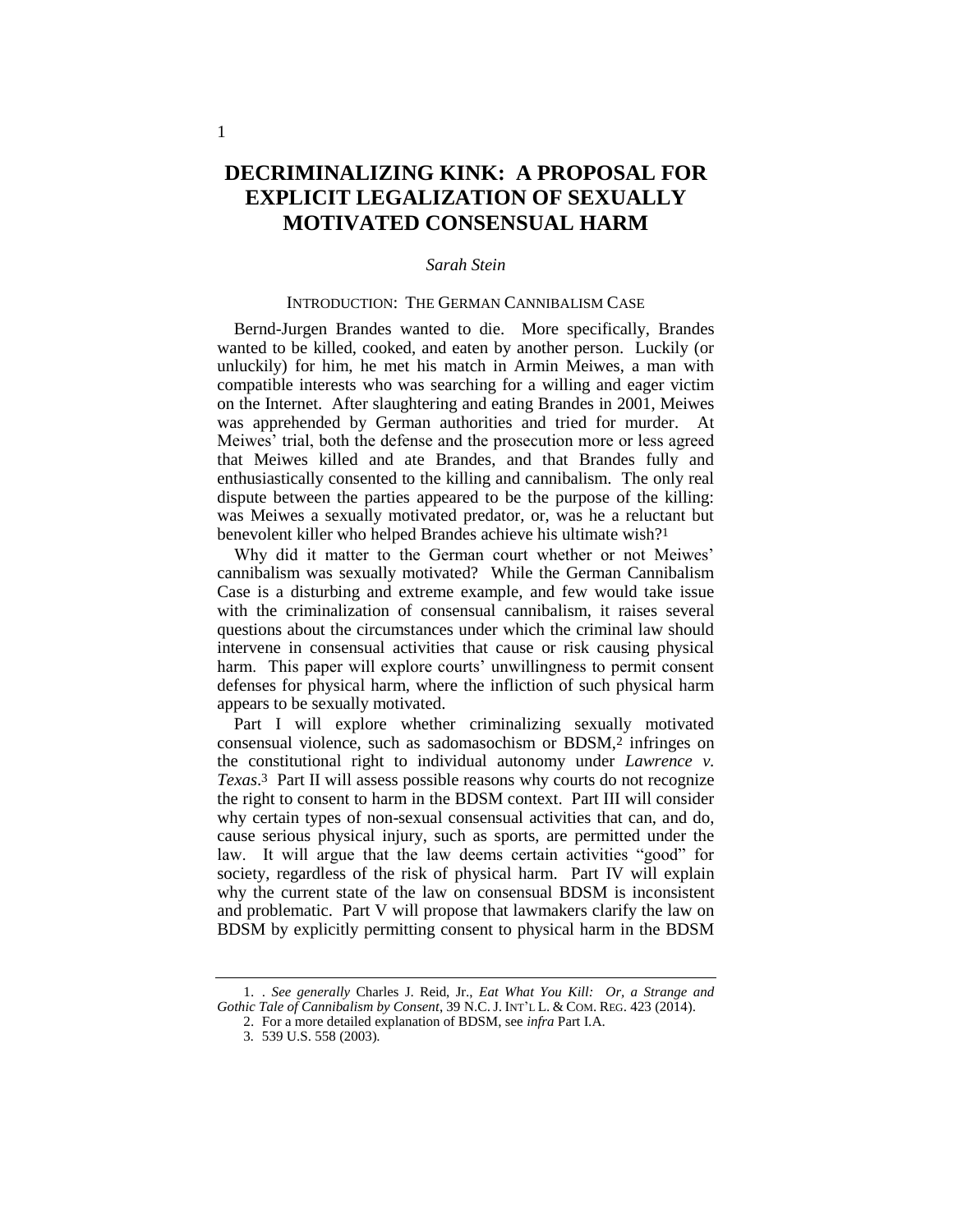## **DECRIMINALIZING KINK: A PROPOSAL FOR EXPLICIT LEGALIZATION OF SEXUALLY MOTIVATED CONSENSUAL HARM**

## *Sarah Stein*

#### INTRODUCTION: THE GERMAN CANNIBALISM CASE

Bernd-Jurgen Brandes wanted to die. More specifically, Brandes wanted to be killed, cooked, and eaten by another person. Luckily (or unluckily) for him, he met his match in Armin Meiwes, a man with compatible interests who was searching for a willing and eager victim on the Internet. After slaughtering and eating Brandes in 2001, Meiwes was apprehended by German authorities and tried for murder. At Meiwes' trial, both the defense and the prosecution more or less agreed that Meiwes killed and ate Brandes, and that Brandes fully and enthusiastically consented to the killing and cannibalism. The only real dispute between the parties appeared to be the purpose of the killing: was Meiwes a sexually motivated predator, or, was he a reluctant but benevolent killer who helped Brandes achieve his ultimate wish?1

Why did it matter to the German court whether or not Meiwes' cannibalism was sexually motivated? While the German Cannibalism Case is a disturbing and extreme example, and few would take issue with the criminalization of consensual cannibalism, it raises several questions about the circumstances under which the criminal law should intervene in consensual activities that cause or risk causing physical harm. This paper will explore courts' unwillingness to permit consent defenses for physical harm, where the infliction of such physical harm appears to be sexually motivated.

Part I will explore whether criminalizing sexually motivated consensual violence, such as sadomasochism or BDSM,2 infringes on the constitutional right to individual autonomy under *Lawrence v. Texas*. 3 Part II will assess possible reasons why courts do not recognize the right to consent to harm in the BDSM context. Part III will consider why certain types of non-sexual consensual activities that can, and do, cause serious physical injury, such as sports, are permitted under the law. It will argue that the law deems certain activities "good" for society, regardless of the risk of physical harm. Part IV will explain why the current state of the law on consensual BDSM is inconsistent and problematic. Part V will propose that lawmakers clarify the law on BDSM by explicitly permitting consent to physical harm in the BDSM

<sup>1.</sup> . *See generally* Charles J. Reid, Jr., *Eat What You Kill: Or, a Strange and Gothic Tale of Cannibalism by Consent*, 39 N.C.J. INT'L L. & COM. REG. 423 (2014).

<sup>2.</sup> For a more detailed explanation of BDSM, see *infra* Part I.A.

<sup>3</sup>*.* 539 U.S. 558 (2003).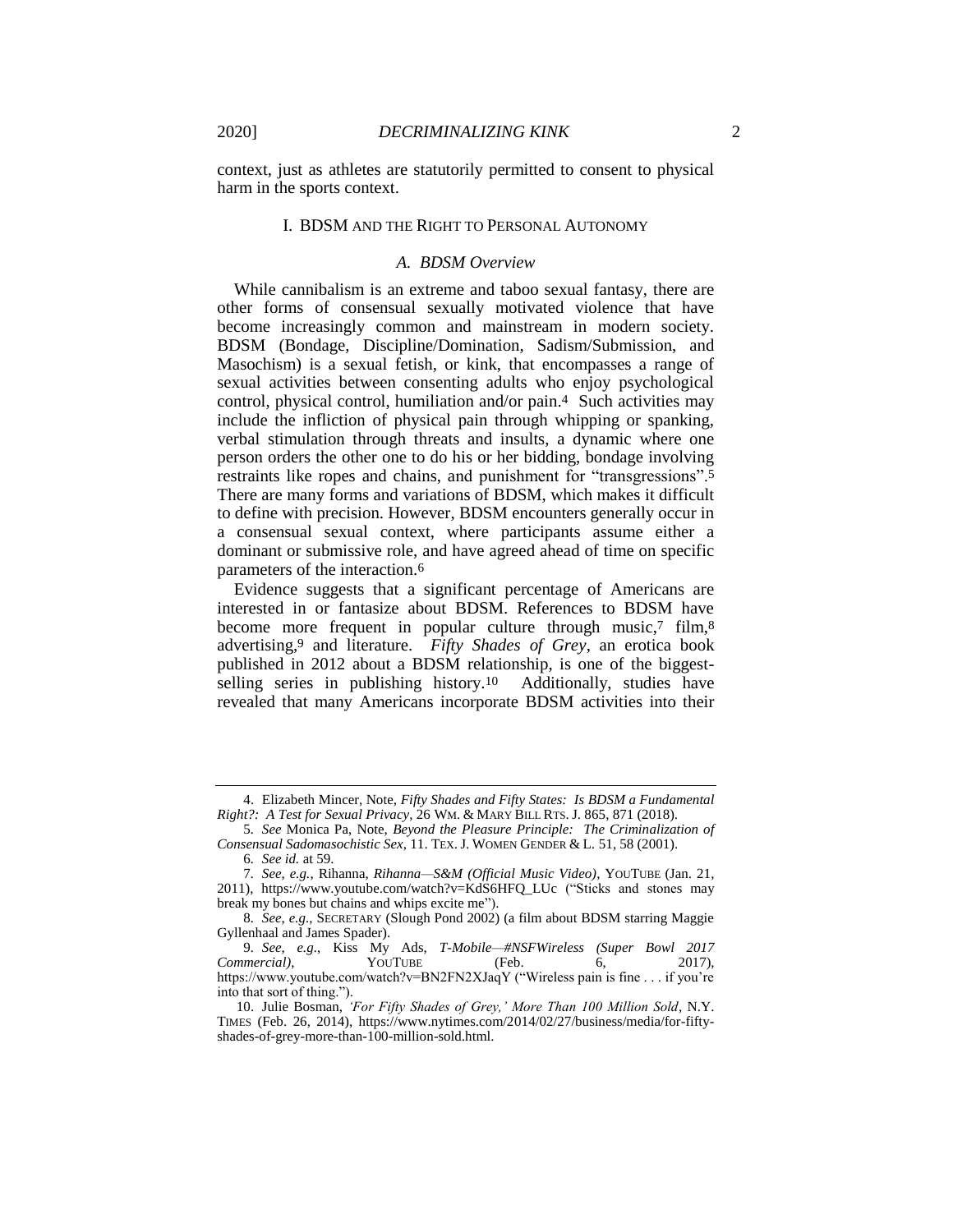context, just as athletes are statutorily permitted to consent to physical harm in the sports context.

#### I. BDSM AND THE RIGHT TO PERSONAL AUTONOMY

#### *A. BDSM Overview*

While cannibalism is an extreme and taboo sexual fantasy, there are other forms of consensual sexually motivated violence that have become increasingly common and mainstream in modern society. BDSM (Bondage, Discipline/Domination, Sadism/Submission, and Masochism) is a sexual fetish, or kink, that encompasses a range of sexual activities between consenting adults who enjoy psychological control, physical control, humiliation and/or pain.4 Such activities may include the infliction of physical pain through whipping or spanking, verbal stimulation through threats and insults, a dynamic where one person orders the other one to do his or her bidding, bondage involving restraints like ropes and chains, and punishment for "transgressions".5 There are many forms and variations of BDSM, which makes it difficult to define with precision. However, BDSM encounters generally occur in a consensual sexual context, where participants assume either a dominant or submissive role, and have agreed ahead of time on specific parameters of the interaction.6

Evidence suggests that a significant percentage of Americans are interested in or fantasize about BDSM. References to BDSM have become more frequent in popular culture through music,7 film,8 advertising,9 and literature. *Fifty Shades of Grey*, an erotica book published in 2012 about a BDSM relationship, is one of the biggestselling series in publishing history.10 Additionally, studies have revealed that many Americans incorporate BDSM activities into their

<sup>4.</sup> Elizabeth Mincer, Note, *Fifty Shades and Fifty States: Is BDSM a Fundamental Right?: A Test for Sexual Privacy*, 26 WM. & MARY BILL RTS. J. 865, 871 (2018).

<sup>5</sup>*. See* Monica Pa, Note, *Beyond the Pleasure Principle: The Criminalization of Consensual Sadomasochistic Sex*, 11. TEX. J. WOMEN GENDER & L. 51, 58 (2001).

<sup>6</sup>*. See id.* at 59.

<sup>7</sup>*. See*, *e.g.*, Rihanna, *Rihanna—S&M (Official Music Video)*, YOUTUBE (Jan. 21, 2011), https://www.youtube.com/watch?v=KdS6HFQ\_LUc ("Sticks and stones may break my bones but chains and whips excite me").

<sup>8</sup>*. See*, *e.g.*, SECRETARY (Slough Pond 2002) (a film about BDSM starring Maggie Gyllenhaal and James Spader).

<sup>9</sup>*. See*, *e.g.*, Kiss My Ads, *T-Mobile—#NSFWireless (Super Bowl 2017 Commercial*),  $\qquad \qquad \text{YouTUBE} \qquad \qquad \text{(Feb. 6,}$ https://www.youtube.com/watch?v=BN2FN2XJaqY ("Wireless pain is fine . . . if you're into that sort of thing.").

<sup>10.</sup> Julie Bosman, *'For Fifty Shades of Grey,' More Than 100 Million Sold*, N.Y. TIMES (Feb. 26, 2014), https://www.nytimes.com/2014/02/27/business/media/for-fiftyshades-of-grey-more-than-100-million-sold.html.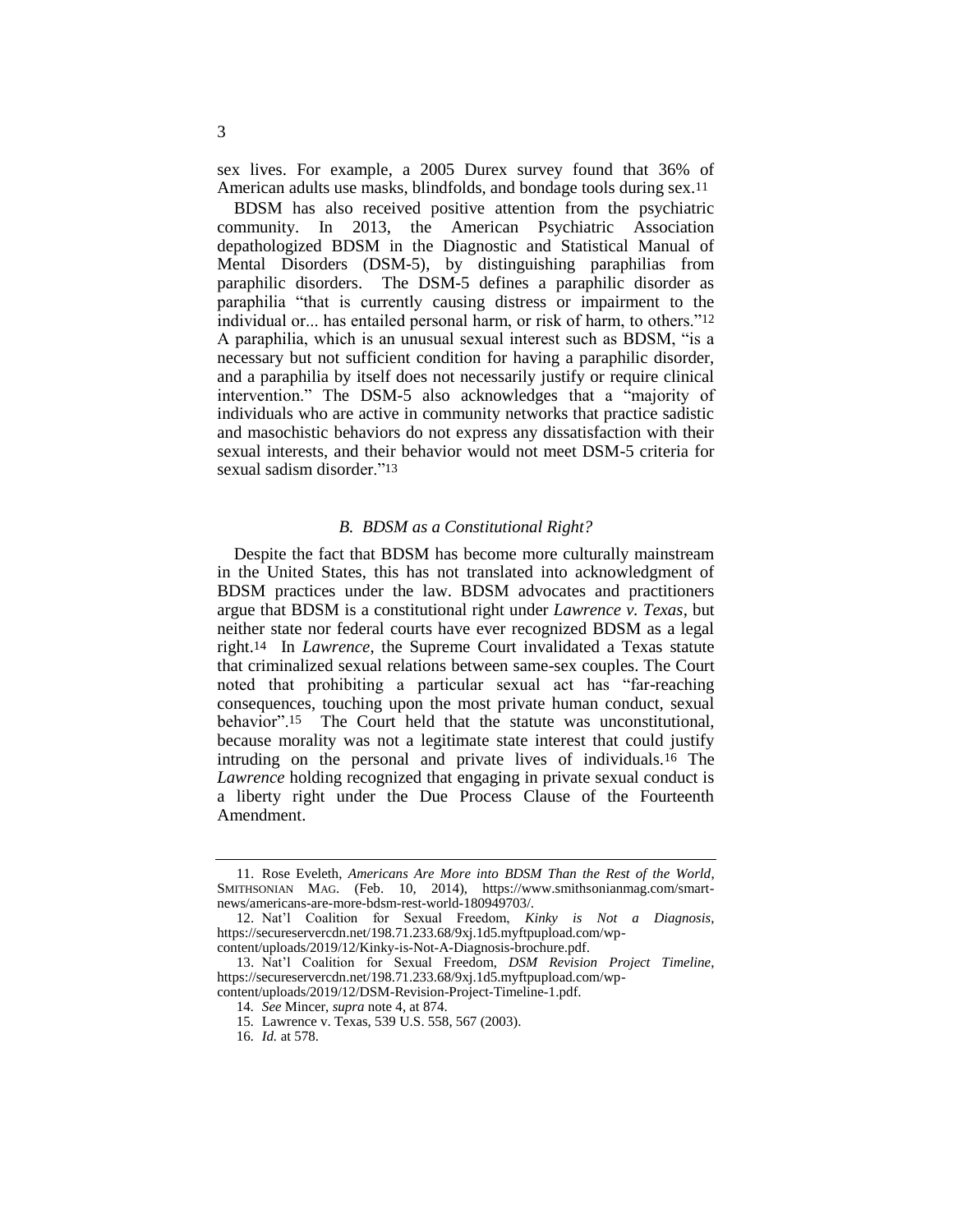sex lives. For example, a 2005 Durex survey found that 36% of American adults use masks, blindfolds, and bondage tools during sex.11

BDSM has also received positive attention from the psychiatric community. In 2013, the American Psychiatric Association depathologized BDSM in the Diagnostic and Statistical Manual of Mental Disorders (DSM-5), by distinguishing paraphilias from paraphilic disorders. The DSM-5 defines a paraphilic disorder as paraphilia "that is currently causing distress or impairment to the individual or... has entailed personal harm, or risk of harm, to others."12 A paraphilia, which is an unusual sexual interest such as BDSM, "is a necessary but not sufficient condition for having a paraphilic disorder, and a paraphilia by itself does not necessarily justify or require clinical intervention." The DSM-5 also acknowledges that a "majority of individuals who are active in community networks that practice sadistic and masochistic behaviors do not express any dissatisfaction with their sexual interests, and their behavior would not meet DSM-5 criteria for sexual sadism disorder."13

#### *B. BDSM as a Constitutional Right?*

Despite the fact that BDSM has become more culturally mainstream in the United States, this has not translated into acknowledgment of BDSM practices under the law. BDSM advocates and practitioners argue that BDSM is a constitutional right under *Lawrence v. Texas*, but neither state nor federal courts have ever recognized BDSM as a legal right.14 In *Lawrence*, the Supreme Court invalidated a Texas statute that criminalized sexual relations between same-sex couples. The Court noted that prohibiting a particular sexual act has "far-reaching consequences, touching upon the most private human conduct, sexual behavior".15 The Court held that the statute was unconstitutional, because morality was not a legitimate state interest that could justify intruding on the personal and private lives of individuals.16 The *Lawrence* holding recognized that engaging in private sexual conduct is a liberty right under the Due Process Clause of the Fourteenth Amendment.

<sup>11.</sup> Rose Eveleth, *Americans Are More into BDSM Than the Rest of the World*, SMITHSONIAN MAG. (Feb. 10, 2014), https://www.smithsonianmag.com/smartnews/americans-are-more-bdsm-rest-world-180949703/.

<sup>12.</sup> Nat'l Coalition for Sexual Freedom, *Kinky is Not a Diagnosis*, https://secureservercdn.net/198.71.233.68/9xj.1d5.myftpupload.com/wp-

content/uploads/2019/12/Kinky-is-Not-A-Diagnosis-brochure.pdf.

<sup>13.</sup> Nat'l Coalition for Sexual Freedom, *DSM Revision Project Timeline*, https://secureservercdn.net/198.71.233.68/9xj.1d5.myftpupload.com/wpcontent/uploads/2019/12/DSM-Revision-Project-Timeline-1.pdf.

<sup>14</sup>*. See* Mincer, *supra* note 4, at 874.

<sup>15</sup>*.* Lawrence v. Texas, 539 U.S. 558, 567 (2003).

<sup>16</sup>*. Id.* at 578.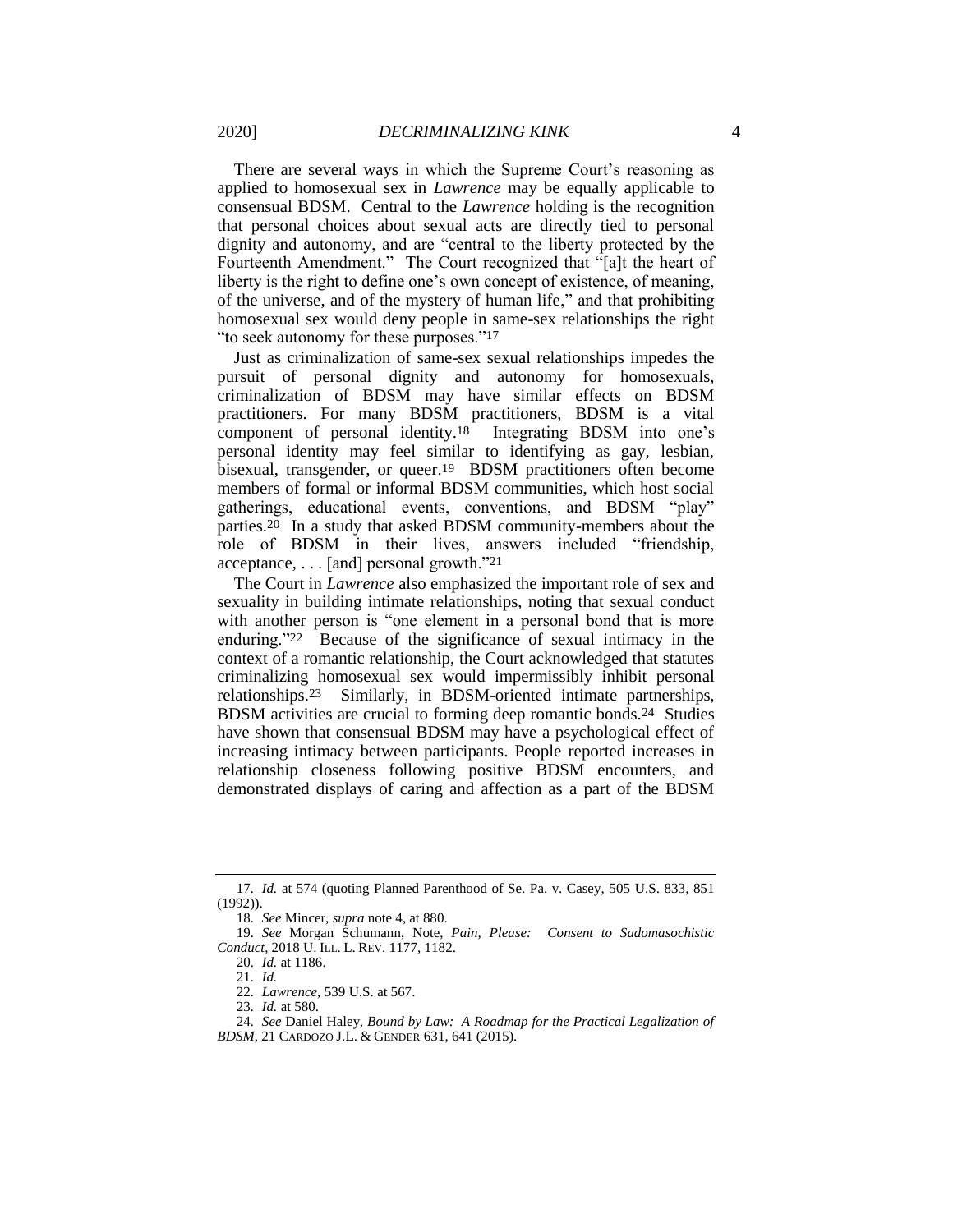There are several ways in which the Supreme Court's reasoning as applied to homosexual sex in *Lawrence* may be equally applicable to consensual BDSM. Central to the *Lawrence* holding is the recognition that personal choices about sexual acts are directly tied to personal dignity and autonomy, and are "central to the liberty protected by the Fourteenth Amendment." The Court recognized that "[a]t the heart of liberty is the right to define one's own concept of existence, of meaning, of the universe, and of the mystery of human life," and that prohibiting homosexual sex would deny people in same-sex relationships the right "to seek autonomy for these purposes."17

Just as criminalization of same-sex sexual relationships impedes the pursuit of personal dignity and autonomy for homosexuals, criminalization of BDSM may have similar effects on BDSM practitioners. For many BDSM practitioners, BDSM is a vital component of personal identity.18 Integrating BDSM into one's personal identity may feel similar to identifying as gay, lesbian, bisexual, transgender, or queer.19 BDSM practitioners often become members of formal or informal BDSM communities, which host social gatherings, educational events, conventions, and BDSM "play" parties.20 In a study that asked BDSM community-members about the role of BDSM in their lives, answers included "friendship, acceptance, . . . [and] personal growth."21

The Court in *Lawrence* also emphasized the important role of sex and sexuality in building intimate relationships, noting that sexual conduct with another person is "one element in a personal bond that is more enduring."22 Because of the significance of sexual intimacy in the context of a romantic relationship, the Court acknowledged that statutes criminalizing homosexual sex would impermissibly inhibit personal relationships.23 Similarly, in BDSM-oriented intimate partnerships, BDSM activities are crucial to forming deep romantic bonds.24 Studies have shown that consensual BDSM may have a psychological effect of increasing intimacy between participants. People reported increases in relationship closeness following positive BDSM encounters, and demonstrated displays of caring and affection as a part of the BDSM

<sup>17</sup>*. Id.* at 574 (quoting Planned Parenthood of Se. Pa. v. Casey, 505 U.S. 833, 851 (1992)).

<sup>18</sup>*. See* Mincer, *supra* note 4, at 880.

<sup>19</sup>*. See* Morgan Schumann, Note, *Pain, Please: Consent to Sadomasochistic Conduct*, 2018 U. ILL. L. REV. 1177, 1182.

<sup>20</sup>*. Id.* at 1186.

<sup>21</sup>*. Id.*

<sup>22</sup>*. Lawrence,* 539 U.S. at 567.

<sup>23</sup>*. Id.* at 580.

<sup>24</sup>*. See* Daniel Haley, *Bound by Law: A Roadmap for the Practical Legalization of BDSM*, 21 CARDOZO J.L. & GENDER 631, 641 (2015).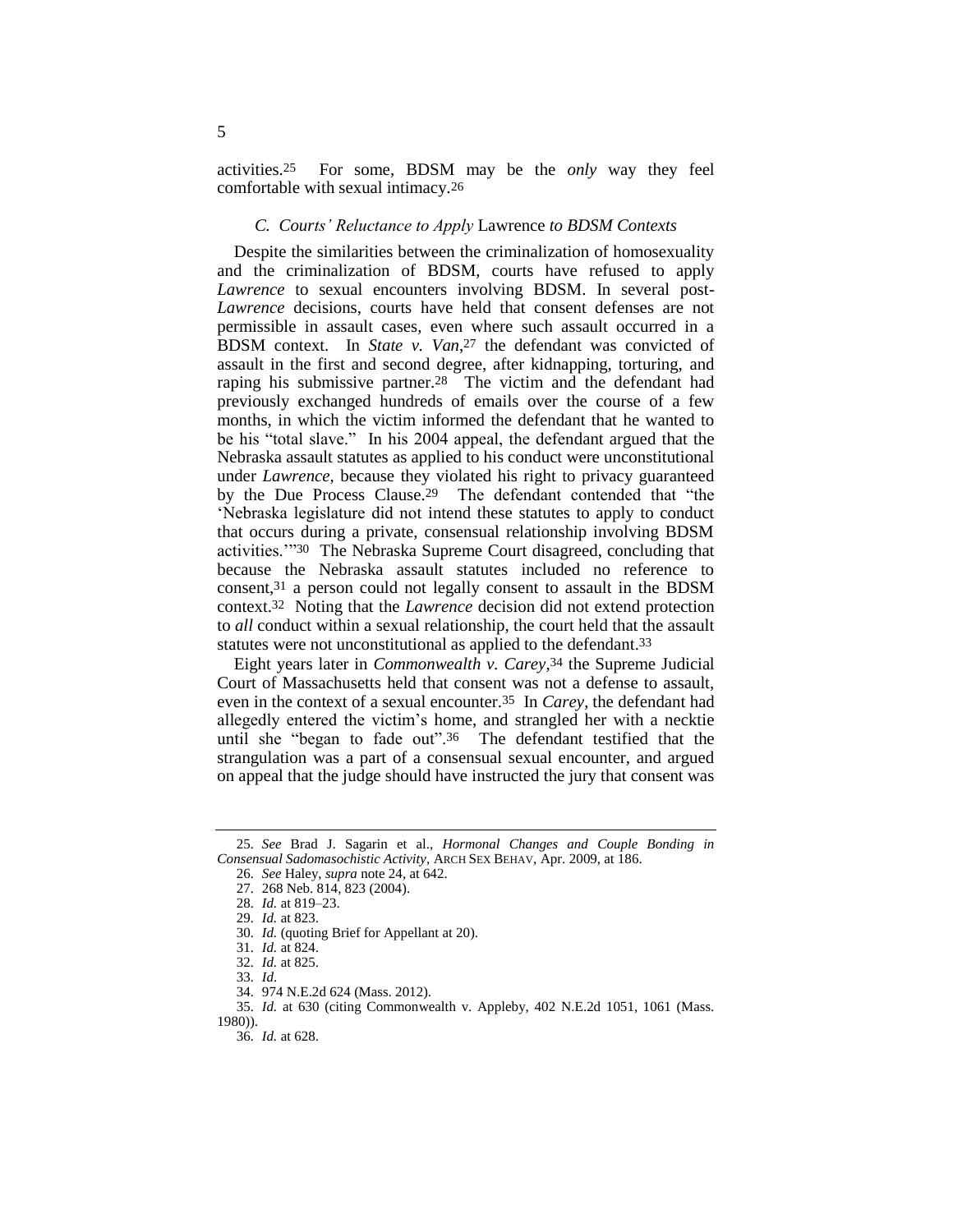activities.25 For some, BDSM may be the *only* way they feel comfortable with sexual intimacy.26

## *C. Courts' Reluctance to Apply* Lawrence *to BDSM Contexts*

Despite the similarities between the criminalization of homosexuality and the criminalization of BDSM, courts have refused to apply *Lawrence* to sexual encounters involving BDSM. In several post-*Lawrence* decisions, courts have held that consent defenses are not permissible in assault cases, even where such assault occurred in a BDSM context. In *State v. Van*, 27 the defendant was convicted of assault in the first and second degree, after kidnapping, torturing, and raping his submissive partner.28 The victim and the defendant had previously exchanged hundreds of emails over the course of a few months, in which the victim informed the defendant that he wanted to be his "total slave." In his 2004 appeal, the defendant argued that the Nebraska assault statutes as applied to his conduct were unconstitutional under *Lawrence*, because they violated his right to privacy guaranteed by the Due Process Clause.29 The defendant contended that "the 'Nebraska legislature did not intend these statutes to apply to conduct that occurs during a private, consensual relationship involving BDSM activities.'"30 The Nebraska Supreme Court disagreed, concluding that because the Nebraska assault statutes included no reference to consent,31 a person could not legally consent to assault in the BDSM context.32 Noting that the *Lawrence* decision did not extend protection to *all* conduct within a sexual relationship, the court held that the assault statutes were not unconstitutional as applied to the defendant.33

Eight years later in *Commonwealth v. Carey*, 34 the Supreme Judicial Court of Massachusetts held that consent was not a defense to assault, even in the context of a sexual encounter.35 In *Carey*, the defendant had allegedly entered the victim's home, and strangled her with a necktie until she "began to fade out".36 The defendant testified that the strangulation was a part of a consensual sexual encounter, and argued on appeal that the judge should have instructed the jury that consent was

<sup>25</sup>*. See* Brad J. Sagarin et al., *Hormonal Changes and Couple Bonding in Consensual Sadomasochistic Activity*, ARCH SEX BEHAV, Apr. 2009, at 186.

<sup>26</sup>*. See* Haley, *supra* note 24, at 642.

<sup>27</sup>*.* 268 Neb. 814, 823 (2004).

<sup>28</sup>*. Id.* at 819–23.

<sup>29</sup>*. Id.* at 823.

<sup>30</sup>*. Id.* (quoting Brief for Appellant at 20).

<sup>31</sup>*. Id.* at 824.

<sup>32</sup>*. Id.* at 825.

<sup>33</sup>*. Id*. 34*.* 974 N.E.2d 624 (Mass. 2012).

<sup>35</sup>*. Id.* at 630 (citing Commonwealth v. Appleby, 402 N.E.2d 1051, 1061 (Mass. 1980)).

<sup>36</sup>*. Id.* at 628.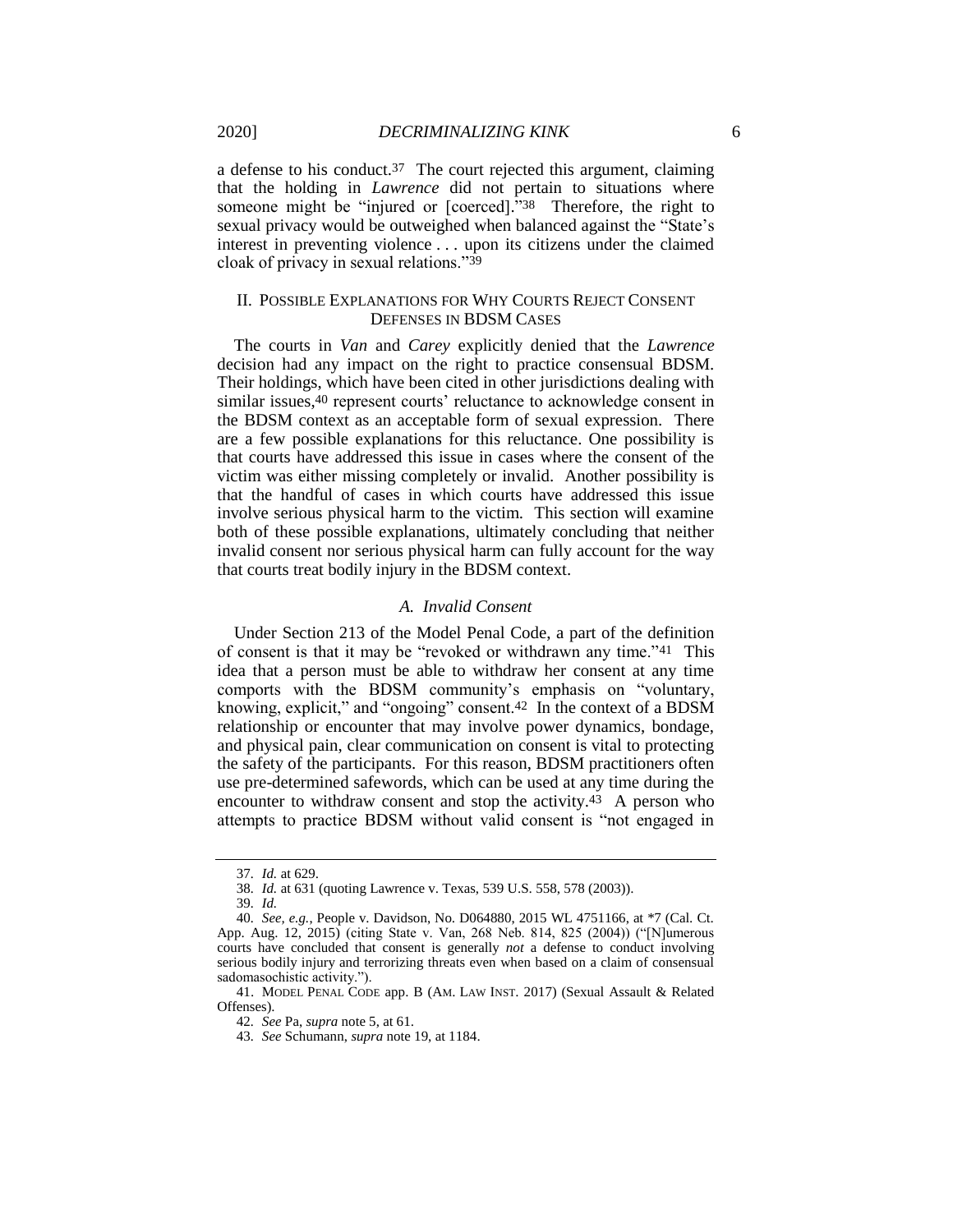a defense to his conduct.37 The court rejected this argument, claiming that the holding in *Lawrence* did not pertain to situations where someone might be "injured or [coerced]."38 Therefore, the right to sexual privacy would be outweighed when balanced against the "State's interest in preventing violence . . . upon its citizens under the claimed cloak of privacy in sexual relations."39

## II. POSSIBLE EXPLANATIONS FOR WHY COURTS REJECT CONSENT DEFENSES IN BDSM CASES

The courts in *Van* and *Carey* explicitly denied that the *Lawrence* decision had any impact on the right to practice consensual BDSM. Their holdings, which have been cited in other jurisdictions dealing with similar issues,40 represent courts' reluctance to acknowledge consent in the BDSM context as an acceptable form of sexual expression. There are a few possible explanations for this reluctance. One possibility is that courts have addressed this issue in cases where the consent of the victim was either missing completely or invalid. Another possibility is that the handful of cases in which courts have addressed this issue involve serious physical harm to the victim. This section will examine both of these possible explanations, ultimately concluding that neither invalid consent nor serious physical harm can fully account for the way that courts treat bodily injury in the BDSM context.

## *A. Invalid Consent*

Under Section 213 of the Model Penal Code, a part of the definition of consent is that it may be "revoked or withdrawn any time."41 This idea that a person must be able to withdraw her consent at any time comports with the BDSM community's emphasis on "voluntary, knowing, explicit," and "ongoing" consent.42 In the context of a BDSM relationship or encounter that may involve power dynamics, bondage, and physical pain, clear communication on consent is vital to protecting the safety of the participants. For this reason, BDSM practitioners often use pre-determined safewords, which can be used at any time during the encounter to withdraw consent and stop the activity.43 A person who attempts to practice BDSM without valid consent is "not engaged in

<sup>37</sup>*. Id.* at 629.

<sup>38</sup>*. Id.* at 631 (quoting Lawrence v. Texas, 539 U.S. 558, 578 (2003)).

<sup>39</sup>*. Id.*

<sup>40</sup>*. See, e.g.*, People v. Davidson, No. D064880, 2015 WL 4751166, at \*7 (Cal. Ct. App. Aug. 12, 2015) (citing State v. Van, 268 Neb. 814, 825 (2004)) ("[N]umerous courts have concluded that consent is generally *not* a defense to conduct involving serious bodily injury and terrorizing threats even when based on a claim of consensual sadomasochistic activity.").

<sup>41.</sup> MODEL PENAL CODE app. B (AM. LAW INST. 2017) (Sexual Assault & Related Offenses).

<sup>42</sup>*. See* Pa, *supra* note 5, at 61.

<sup>43</sup>*. See* Schumann, *supra* note 19, at 1184.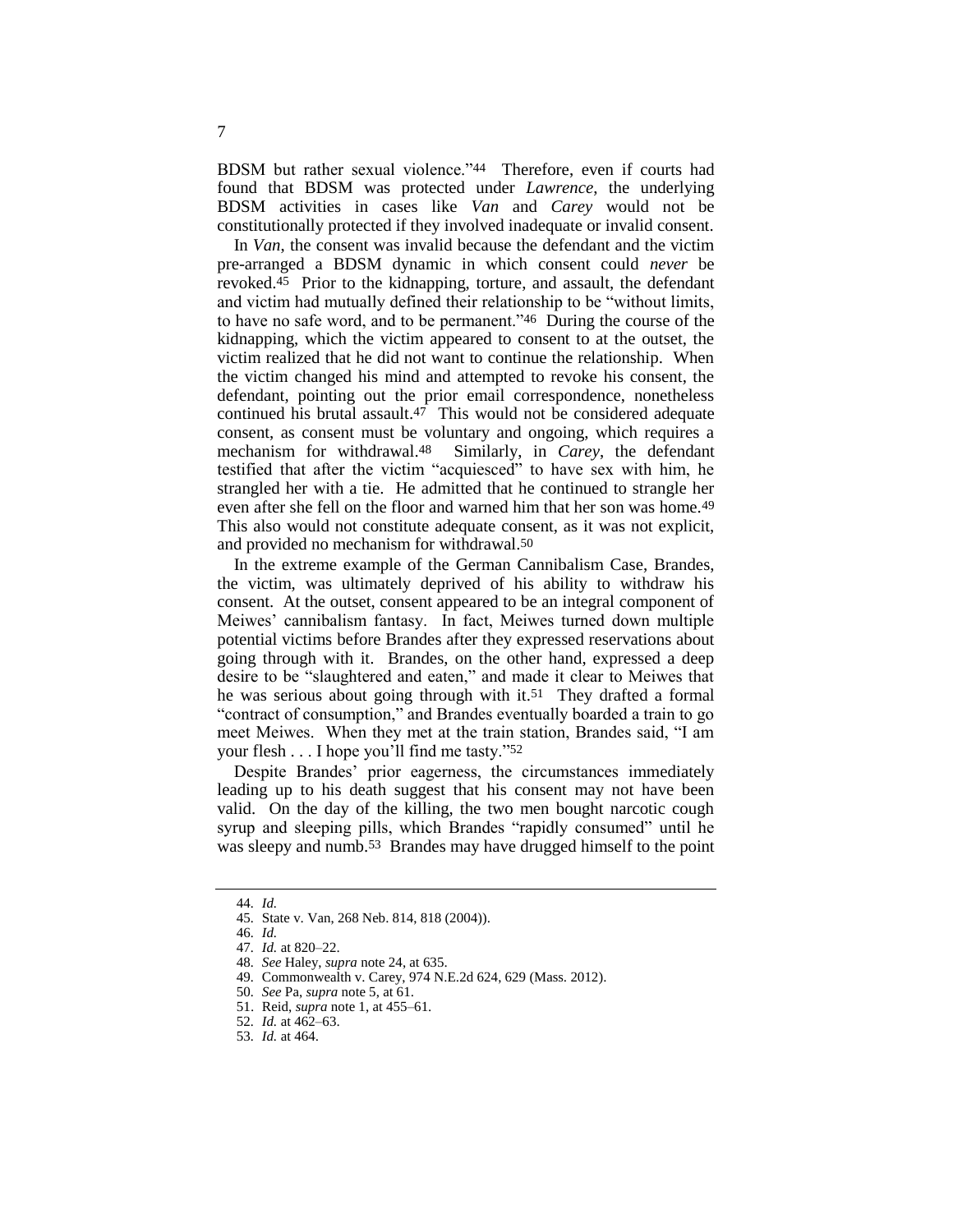BDSM but rather sexual violence."44 Therefore, even if courts had found that BDSM was protected under *Lawrence*, the underlying BDSM activities in cases like *Van* and *Carey* would not be constitutionally protected if they involved inadequate or invalid consent.

In *Van*, the consent was invalid because the defendant and the victim pre-arranged a BDSM dynamic in which consent could *never* be revoked.45 Prior to the kidnapping, torture, and assault, the defendant and victim had mutually defined their relationship to be "without limits, to have no safe word, and to be permanent."46 During the course of the kidnapping, which the victim appeared to consent to at the outset, the victim realized that he did not want to continue the relationship. When the victim changed his mind and attempted to revoke his consent, the defendant, pointing out the prior email correspondence, nonetheless continued his brutal assault.47 This would not be considered adequate consent, as consent must be voluntary and ongoing, which requires a mechanism for withdrawal.48 Similarly, in *Carey*, the defendant testified that after the victim "acquiesced" to have sex with him, he strangled her with a tie. He admitted that he continued to strangle her even after she fell on the floor and warned him that her son was home.49 This also would not constitute adequate consent, as it was not explicit, and provided no mechanism for withdrawal.50

In the extreme example of the German Cannibalism Case, Brandes, the victim, was ultimately deprived of his ability to withdraw his consent. At the outset, consent appeared to be an integral component of Meiwes' cannibalism fantasy. In fact, Meiwes turned down multiple potential victims before Brandes after they expressed reservations about going through with it. Brandes, on the other hand, expressed a deep desire to be "slaughtered and eaten," and made it clear to Meiwes that he was serious about going through with it.<sup>51</sup> They drafted a formal "contract of consumption," and Brandes eventually boarded a train to go meet Meiwes. When they met at the train station, Brandes said, "I am your flesh . . . I hope you'll find me tasty."52

Despite Brandes' prior eagerness, the circumstances immediately leading up to his death suggest that his consent may not have been valid. On the day of the killing, the two men bought narcotic cough syrup and sleeping pills, which Brandes "rapidly consumed" until he was sleepy and numb.53 Brandes may have drugged himself to the point

<sup>44</sup>*. Id.*

<sup>45</sup>*.* State v. Van, 268 Neb. 814, 818 (2004)).

<sup>46</sup>*. Id.*

<sup>47</sup>*. Id.* at 820–22.

<sup>48</sup>*. See* Haley, *supra* note 24, at 635.

<sup>49</sup>*.* Commonwealth v. Carey, 974 N.E.2d 624, 629 (Mass. 2012).

<sup>50</sup>*. See* Pa, *supra* note 5, at 61.

<sup>51.</sup> Reid, *supra* note 1, at 455–61.

<sup>52</sup>*. Id.* at 462–63.

<sup>53</sup>*. Id.* at 464.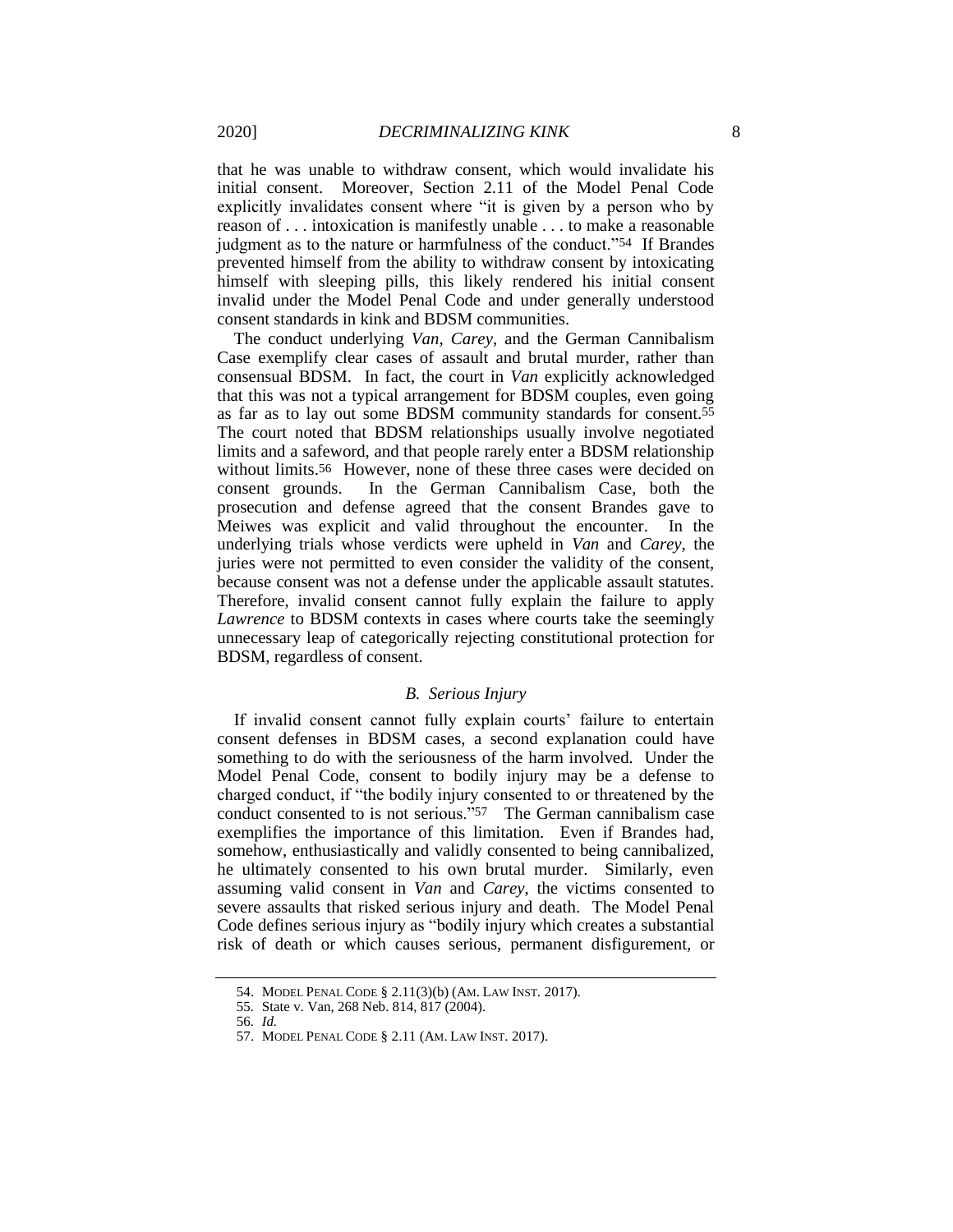that he was unable to withdraw consent, which would invalidate his initial consent. Moreover, Section 2.11 of the Model Penal Code explicitly invalidates consent where "it is given by a person who by reason of . . . intoxication is manifestly unable . . . to make a reasonable judgment as to the nature or harmfulness of the conduct."54 If Brandes prevented himself from the ability to withdraw consent by intoxicating himself with sleeping pills, this likely rendered his initial consent invalid under the Model Penal Code and under generally understood consent standards in kink and BDSM communities.

The conduct underlying *Van*, *Carey*, and the German Cannibalism Case exemplify clear cases of assault and brutal murder, rather than consensual BDSM. In fact, the court in *Van* explicitly acknowledged that this was not a typical arrangement for BDSM couples, even going as far as to lay out some BDSM community standards for consent.55 The court noted that BDSM relationships usually involve negotiated limits and a safeword, and that people rarely enter a BDSM relationship without limits.<sup>56</sup> However, none of these three cases were decided on consent grounds. In the German Cannibalism Case, both the prosecution and defense agreed that the consent Brandes gave to Meiwes was explicit and valid throughout the encounter. In the underlying trials whose verdicts were upheld in *Van* and *Carey*, the juries were not permitted to even consider the validity of the consent, because consent was not a defense under the applicable assault statutes. Therefore, invalid consent cannot fully explain the failure to apply *Lawrence* to BDSM contexts in cases where courts take the seemingly unnecessary leap of categorically rejecting constitutional protection for BDSM, regardless of consent.

## *B. Serious Injury*

If invalid consent cannot fully explain courts' failure to entertain consent defenses in BDSM cases, a second explanation could have something to do with the seriousness of the harm involved. Under the Model Penal Code, consent to bodily injury may be a defense to charged conduct, if "the bodily injury consented to or threatened by the conduct consented to is not serious."57 The German cannibalism case exemplifies the importance of this limitation. Even if Brandes had, somehow, enthusiastically and validly consented to being cannibalized, he ultimately consented to his own brutal murder. Similarly, even assuming valid consent in *Van* and *Carey*, the victims consented to severe assaults that risked serious injury and death. The Model Penal Code defines serious injury as "bodily injury which creates a substantial risk of death or which causes serious, permanent disfigurement, or

<sup>54.</sup> MODEL PENAL CODE § 2.11(3)(b) (AM. LAW INST. 2017).

<sup>55</sup>*.* State v. Van, 268 Neb. 814, 817 (2004).

<sup>56</sup>*. Id.*

<sup>57.</sup> MODEL PENAL CODE § 2.11 (AM. LAW INST. 2017).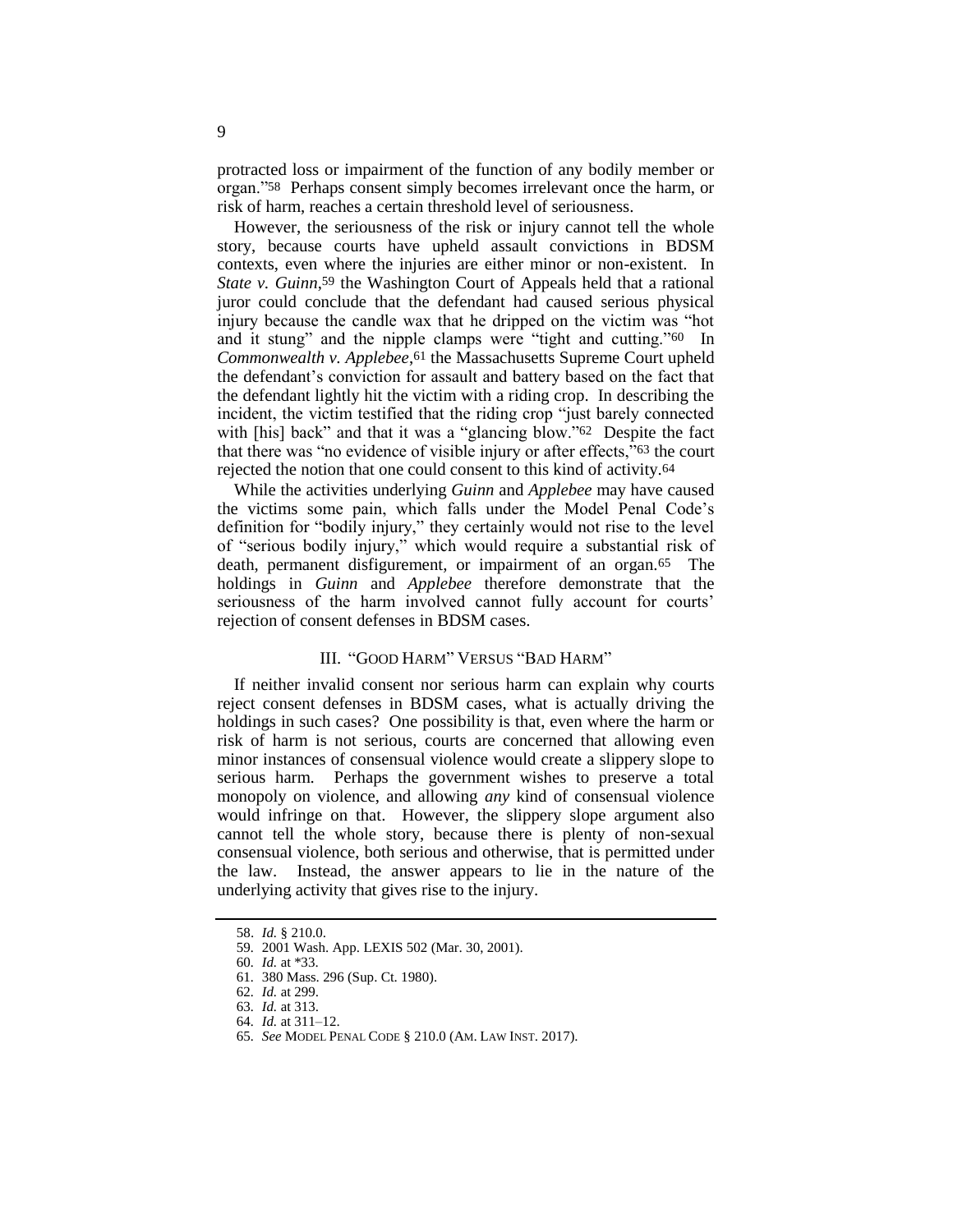protracted loss or impairment of the function of any bodily member or organ."58 Perhaps consent simply becomes irrelevant once the harm, or risk of harm, reaches a certain threshold level of seriousness.

However, the seriousness of the risk or injury cannot tell the whole story, because courts have upheld assault convictions in BDSM contexts, even where the injuries are either minor or non-existent. In State v. Guinn,<sup>59</sup> the Washington Court of Appeals held that a rational juror could conclude that the defendant had caused serious physical injury because the candle wax that he dripped on the victim was "hot and it stung" and the nipple clamps were "tight and cutting."60 In *Commonwealth v. Applebee*, 61 the Massachusetts Supreme Court upheld the defendant's conviction for assault and battery based on the fact that the defendant lightly hit the victim with a riding crop. In describing the incident, the victim testified that the riding crop "just barely connected with [his] back" and that it was a "glancing blow."62 Despite the fact that there was "no evidence of visible injury or after effects,"63 the court rejected the notion that one could consent to this kind of activity.64

While the activities underlying *Guinn* and *Applebee* may have caused the victims some pain, which falls under the Model Penal Code's definition for "bodily injury," they certainly would not rise to the level of "serious bodily injury," which would require a substantial risk of death, permanent disfigurement, or impairment of an organ.65 The holdings in *Guinn* and *Applebee* therefore demonstrate that the seriousness of the harm involved cannot fully account for courts' rejection of consent defenses in BDSM cases.

## III. "GOOD HARM" VERSUS "BAD HARM"

If neither invalid consent nor serious harm can explain why courts reject consent defenses in BDSM cases, what is actually driving the holdings in such cases? One possibility is that, even where the harm or risk of harm is not serious, courts are concerned that allowing even minor instances of consensual violence would create a slippery slope to serious harm. Perhaps the government wishes to preserve a total monopoly on violence, and allowing *any* kind of consensual violence would infringe on that. However, the slippery slope argument also cannot tell the whole story, because there is plenty of non-sexual consensual violence, both serious and otherwise, that is permitted under the law. Instead, the answer appears to lie in the nature of the underlying activity that gives rise to the injury.

<sup>58.</sup> *Id.* § 210.0. 59*.* 2001 Wash. App. LEXIS 502 (Mar. 30, 2001).

<sup>60</sup>*. Id.* at \*33.

<sup>61</sup>*.* 380 Mass. 296 (Sup. Ct. 1980).

<sup>62</sup>*. Id.* at 299.

<sup>63</sup>*. Id.* at 313.

<sup>64</sup>*. Id.* at 311–12.

<sup>65</sup>*. See* MODEL PENAL CODE § 210.0 (AM. LAW INST. 2017).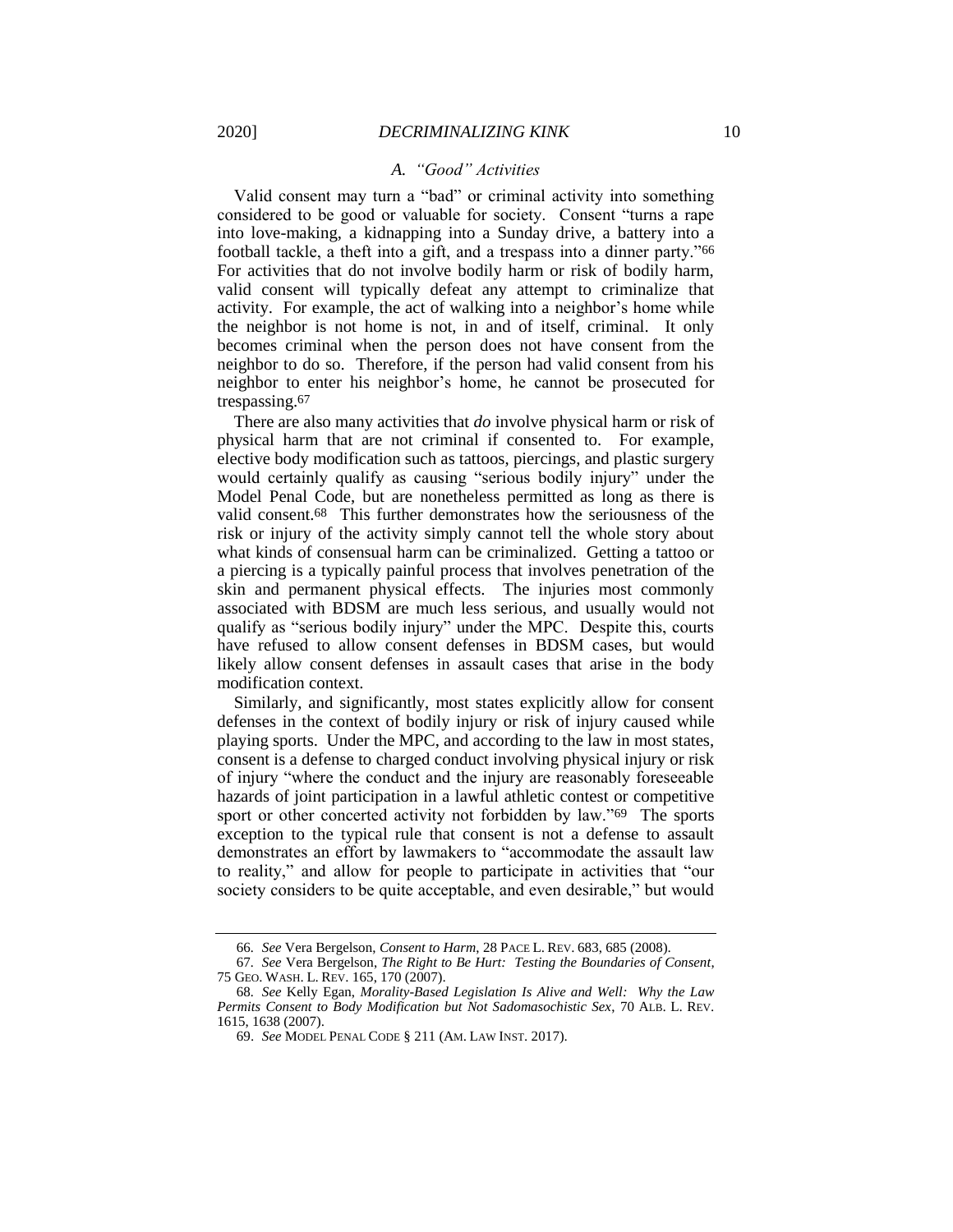## *A. "Good" Activities*

Valid consent may turn a "bad" or criminal activity into something considered to be good or valuable for society. Consent "turns a rape into love-making, a kidnapping into a Sunday drive, a battery into a football tackle, a theft into a gift, and a trespass into a dinner party."66 For activities that do not involve bodily harm or risk of bodily harm, valid consent will typically defeat any attempt to criminalize that activity. For example, the act of walking into a neighbor's home while the neighbor is not home is not, in and of itself, criminal. It only becomes criminal when the person does not have consent from the neighbor to do so. Therefore, if the person had valid consent from his neighbor to enter his neighbor's home, he cannot be prosecuted for trespassing.67

There are also many activities that *do* involve physical harm or risk of physical harm that are not criminal if consented to. For example, elective body modification such as tattoos, piercings, and plastic surgery would certainly qualify as causing "serious bodily injury" under the Model Penal Code, but are nonetheless permitted as long as there is valid consent.68 This further demonstrates how the seriousness of the risk or injury of the activity simply cannot tell the whole story about what kinds of consensual harm can be criminalized. Getting a tattoo or a piercing is a typically painful process that involves penetration of the skin and permanent physical effects. The injuries most commonly associated with BDSM are much less serious, and usually would not qualify as "serious bodily injury" under the MPC. Despite this, courts have refused to allow consent defenses in BDSM cases, but would likely allow consent defenses in assault cases that arise in the body modification context.

Similarly, and significantly, most states explicitly allow for consent defenses in the context of bodily injury or risk of injury caused while playing sports. Under the MPC, and according to the law in most states, consent is a defense to charged conduct involving physical injury or risk of injury "where the conduct and the injury are reasonably foreseeable hazards of joint participation in a lawful athletic contest or competitive sport or other concerted activity not forbidden by law."<sup>69</sup> The sports exception to the typical rule that consent is not a defense to assault demonstrates an effort by lawmakers to "accommodate the assault law to reality," and allow for people to participate in activities that "our society considers to be quite acceptable, and even desirable," but would

<sup>66</sup>*. See* Vera Bergelson, *Consent to Harm*, 28 PACE L. REV. 683, 685 (2008).

<sup>67</sup>*. See* Vera Bergelson, *The Right to Be Hurt: Testing the Boundaries of Consent*, 75 GEO. WASH. L. REV. 165, 170 (2007).

<sup>68</sup>*. See* Kelly Egan, *Morality-Based Legislation Is Alive and Well: Why the Law Permits Consent to Body Modification but Not Sadomasochistic Sex*, 70 ALB. L. REV. 1615, 1638 (2007).

<sup>69.</sup> *See* MODEL PENAL CODE § 211 (AM. LAW INST. 2017).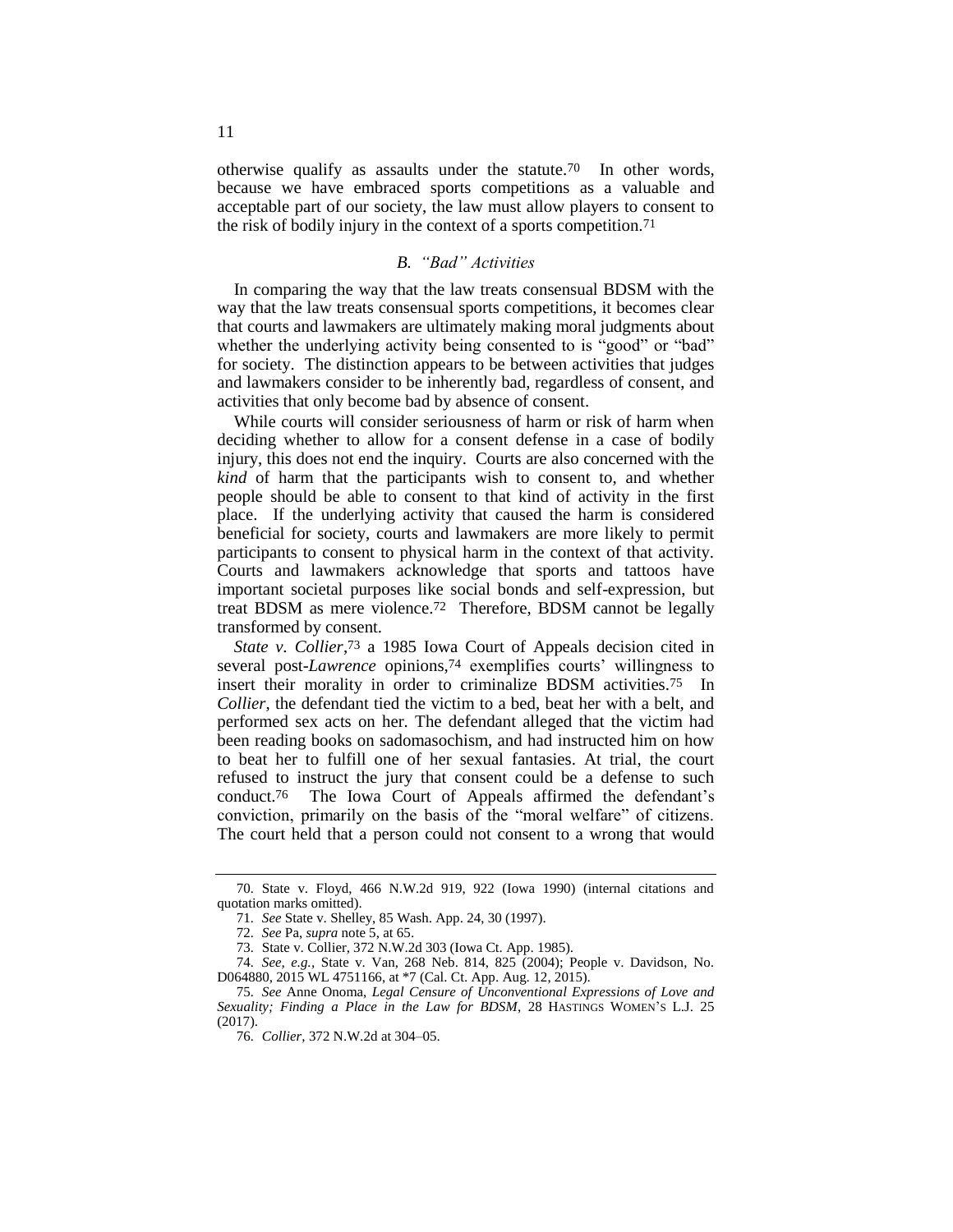otherwise qualify as assaults under the statute.70 In other words, because we have embraced sports competitions as a valuable and acceptable part of our society, the law must allow players to consent to the risk of bodily injury in the context of a sports competition.71

## *B. "Bad" Activities*

In comparing the way that the law treats consensual BDSM with the way that the law treats consensual sports competitions, it becomes clear that courts and lawmakers are ultimately making moral judgments about whether the underlying activity being consented to is "good" or "bad" for society. The distinction appears to be between activities that judges and lawmakers consider to be inherently bad, regardless of consent, and activities that only become bad by absence of consent.

While courts will consider seriousness of harm or risk of harm when deciding whether to allow for a consent defense in a case of bodily injury, this does not end the inquiry. Courts are also concerned with the *kind* of harm that the participants wish to consent to, and whether people should be able to consent to that kind of activity in the first place. If the underlying activity that caused the harm is considered beneficial for society, courts and lawmakers are more likely to permit participants to consent to physical harm in the context of that activity. Courts and lawmakers acknowledge that sports and tattoos have important societal purposes like social bonds and self-expression, but treat BDSM as mere violence.72 Therefore, BDSM cannot be legally transformed by consent.

State v. Collier,<sup>73</sup> a 1985 Iowa Court of Appeals decision cited in several post-*Lawrence* opinions,74 exemplifies courts' willingness to insert their morality in order to criminalize BDSM activities.75 In *Collier*, the defendant tied the victim to a bed, beat her with a belt, and performed sex acts on her. The defendant alleged that the victim had been reading books on sadomasochism, and had instructed him on how to beat her to fulfill one of her sexual fantasies. At trial, the court refused to instruct the jury that consent could be a defense to such conduct.76 The Iowa Court of Appeals affirmed the defendant's conviction, primarily on the basis of the "moral welfare" of citizens. The court held that a person could not consent to a wrong that would

<sup>70</sup>*.* State v. Floyd, 466 N.W.2d 919, 922 (Iowa 1990) (internal citations and quotation marks omitted).

<sup>71</sup>*. See* State v. Shelley, 85 Wash. App. 24, 30 (1997).

<sup>72</sup>*. See* Pa, *supra* note 5, at 65.

<sup>73</sup>*.* State v. Collier, 372 N.W.2d 303 (Iowa Ct. App. 1985).

<sup>74</sup>*. See, e.g.,* State v. Van, 268 Neb. 814, 825 (2004); People v. Davidson, No. D064880, 2015 WL 4751166, at \*7 (Cal. Ct. App. Aug. 12, 2015).

<sup>75</sup>*. See* Anne Onoma, *Legal Censure of Unconventional Expressions of Love and Sexuality; Finding a Place in the Law for BDSM*, 28 HASTINGS WOMEN'S L.J. 25 (2017).

<sup>76</sup>*. Collier,* 372 N.W.2d at 304–05.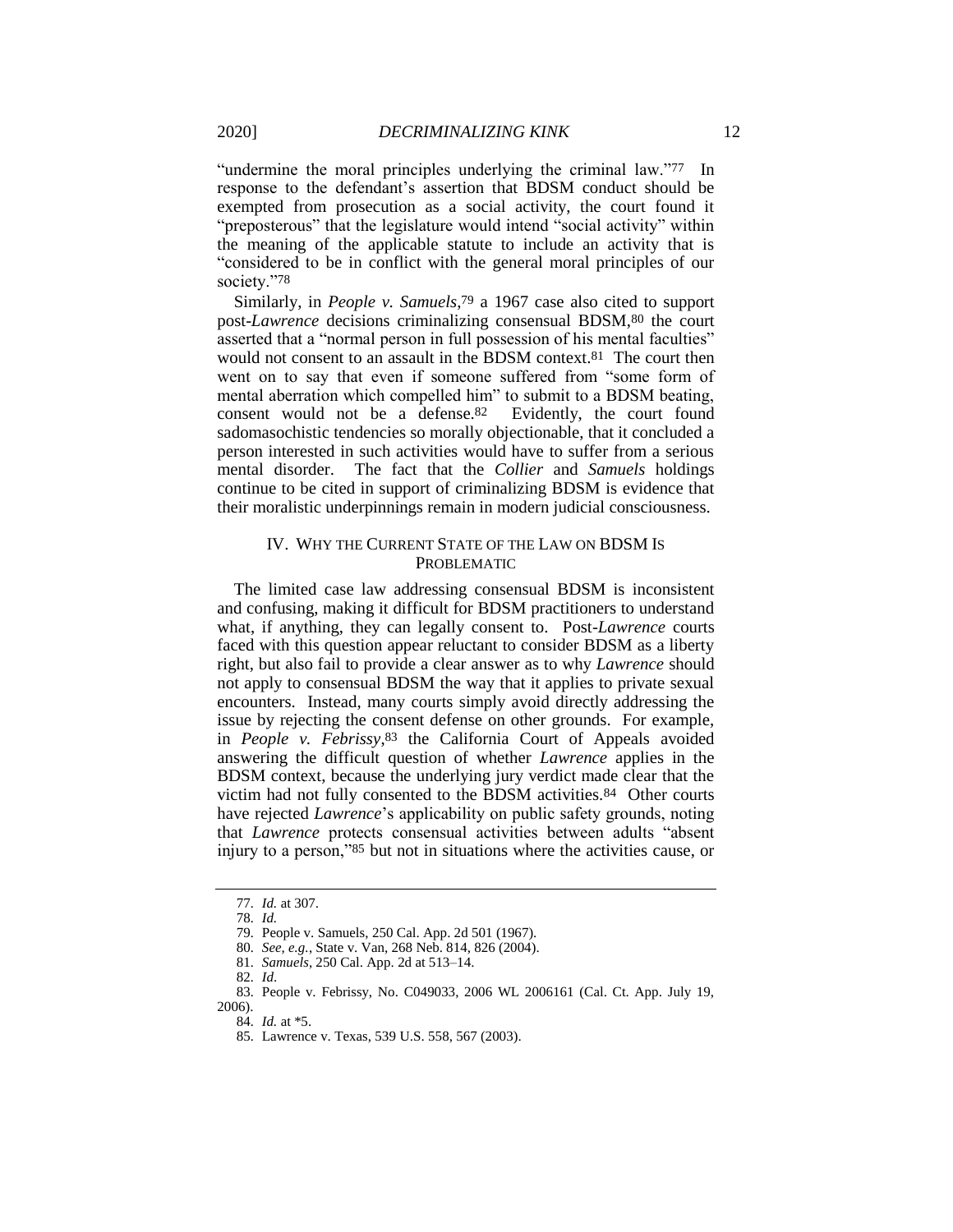"undermine the moral principles underlying the criminal law."77 In response to the defendant's assertion that BDSM conduct should be exempted from prosecution as a social activity, the court found it "preposterous" that the legislature would intend "social activity" within the meaning of the applicable statute to include an activity that is "considered to be in conflict with the general moral principles of our society."78

Similarly, in *People v. Samuels*, 79 a 1967 case also cited to support post-*Lawrence* decisions criminalizing consensual BDSM,80 the court asserted that a "normal person in full possession of his mental faculties" would not consent to an assault in the BDSM context.81 The court then went on to say that even if someone suffered from "some form of mental aberration which compelled him" to submit to a BDSM beating, consent would not be a defense.82 Evidently, the court found sadomasochistic tendencies so morally objectionable, that it concluded a person interested in such activities would have to suffer from a serious mental disorder. The fact that the *Collier* and *Samuels* holdings continue to be cited in support of criminalizing BDSM is evidence that their moralistic underpinnings remain in modern judicial consciousness.

## IV. WHY THE CURRENT STATE OF THE LAW ON BDSM IS PROBLEMATIC

The limited case law addressing consensual BDSM is inconsistent and confusing, making it difficult for BDSM practitioners to understand what, if anything, they can legally consent to. Post-*Lawrence* courts faced with this question appear reluctant to consider BDSM as a liberty right, but also fail to provide a clear answer as to why *Lawrence* should not apply to consensual BDSM the way that it applies to private sexual encounters. Instead, many courts simply avoid directly addressing the issue by rejecting the consent defense on other grounds. For example, in *People v. Febrissy*, 83 the California Court of Appeals avoided answering the difficult question of whether *Lawrence* applies in the BDSM context, because the underlying jury verdict made clear that the victim had not fully consented to the BDSM activities.84 Other courts have rejected *Lawrence*'s applicability on public safety grounds, noting that *Lawrence* protects consensual activities between adults "absent injury to a person,"85 but not in situations where the activities cause, or

<sup>77</sup>*. Id.* at 307.

<sup>78</sup>*. Id.*

<sup>79</sup>*.* People v. Samuels, 250 Cal. App. 2d 501 (1967).

<sup>80</sup>*. See, e.g.*, State v. Van, 268 Neb. 814, 826 (2004).

<sup>81</sup>*. Samuels*, 250 Cal. App. 2d at 513–14.

<sup>82</sup>*. Id*.

<sup>83</sup>*.* People v. Febrissy, No. C049033, 2006 WL 2006161 (Cal. Ct. App. July 19, 2006).

<sup>84</sup>*. Id.* at \*5.

<sup>85</sup>*.* Lawrence v. Texas, 539 U.S. 558, 567 (2003).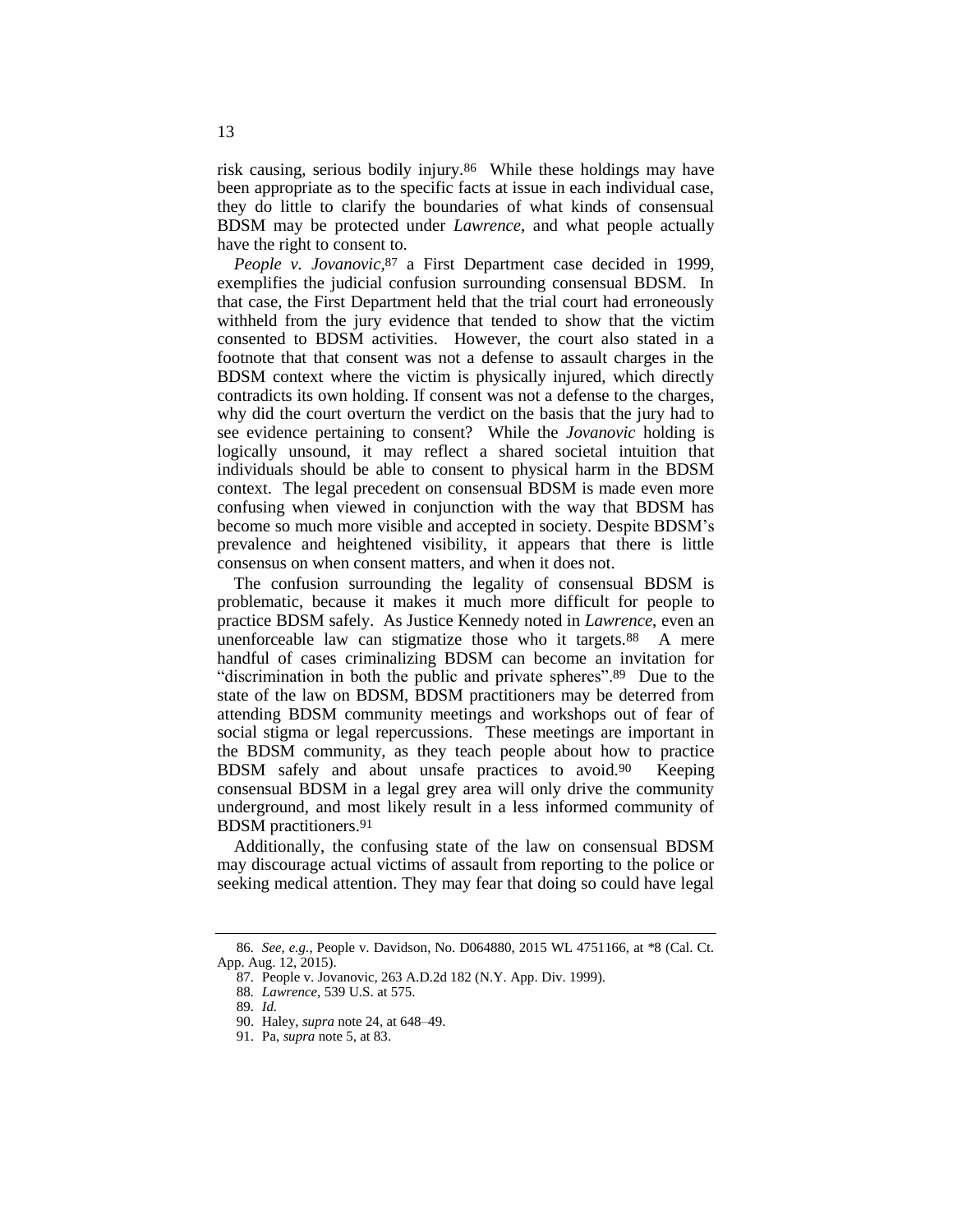risk causing, serious bodily injury.86 While these holdings may have been appropriate as to the specific facts at issue in each individual case, they do little to clarify the boundaries of what kinds of consensual BDSM may be protected under *Lawrence*, and what people actually have the right to consent to.

*People v. Jovanovic*, 87 a First Department case decided in 1999, exemplifies the judicial confusion surrounding consensual BDSM. In that case, the First Department held that the trial court had erroneously withheld from the jury evidence that tended to show that the victim consented to BDSM activities. However, the court also stated in a footnote that that consent was not a defense to assault charges in the BDSM context where the victim is physically injured, which directly contradicts its own holding. If consent was not a defense to the charges, why did the court overturn the verdict on the basis that the jury had to see evidence pertaining to consent? While the *Jovanovic* holding is logically unsound, it may reflect a shared societal intuition that individuals should be able to consent to physical harm in the BDSM context. The legal precedent on consensual BDSM is made even more confusing when viewed in conjunction with the way that BDSM has become so much more visible and accepted in society. Despite BDSM's prevalence and heightened visibility, it appears that there is little consensus on when consent matters, and when it does not.

The confusion surrounding the legality of consensual BDSM is problematic, because it makes it much more difficult for people to practice BDSM safely. As Justice Kennedy noted in *Lawrence*, even an unenforceable law can stigmatize those who it targets.88 A mere handful of cases criminalizing BDSM can become an invitation for "discrimination in both the public and private spheres".89 Due to the state of the law on BDSM, BDSM practitioners may be deterred from attending BDSM community meetings and workshops out of fear of social stigma or legal repercussions. These meetings are important in the BDSM community, as they teach people about how to practice BDSM safely and about unsafe practices to avoid.90 Keeping consensual BDSM in a legal grey area will only drive the community underground, and most likely result in a less informed community of BDSM practitioners.91

Additionally, the confusing state of the law on consensual BDSM may discourage actual victims of assault from reporting to the police or seeking medical attention. They may fear that doing so could have legal

<sup>86</sup>*. See*, *e.g.*, People v. Davidson, No. D064880, 2015 WL 4751166, at \*8 (Cal. Ct. App. Aug. 12, 2015).

<sup>87</sup>*.* People v. Jovanovic, 263 A.D.2d 182 (N.Y. App. Div. 1999).

<sup>88</sup>*. Lawrence,* 539 U.S. at 575.

<sup>89</sup>*. Id.*

<sup>90.</sup> Haley, *supra* note 24, at 648–49.

<sup>91.</sup> Pa, *supra* note 5, at 83.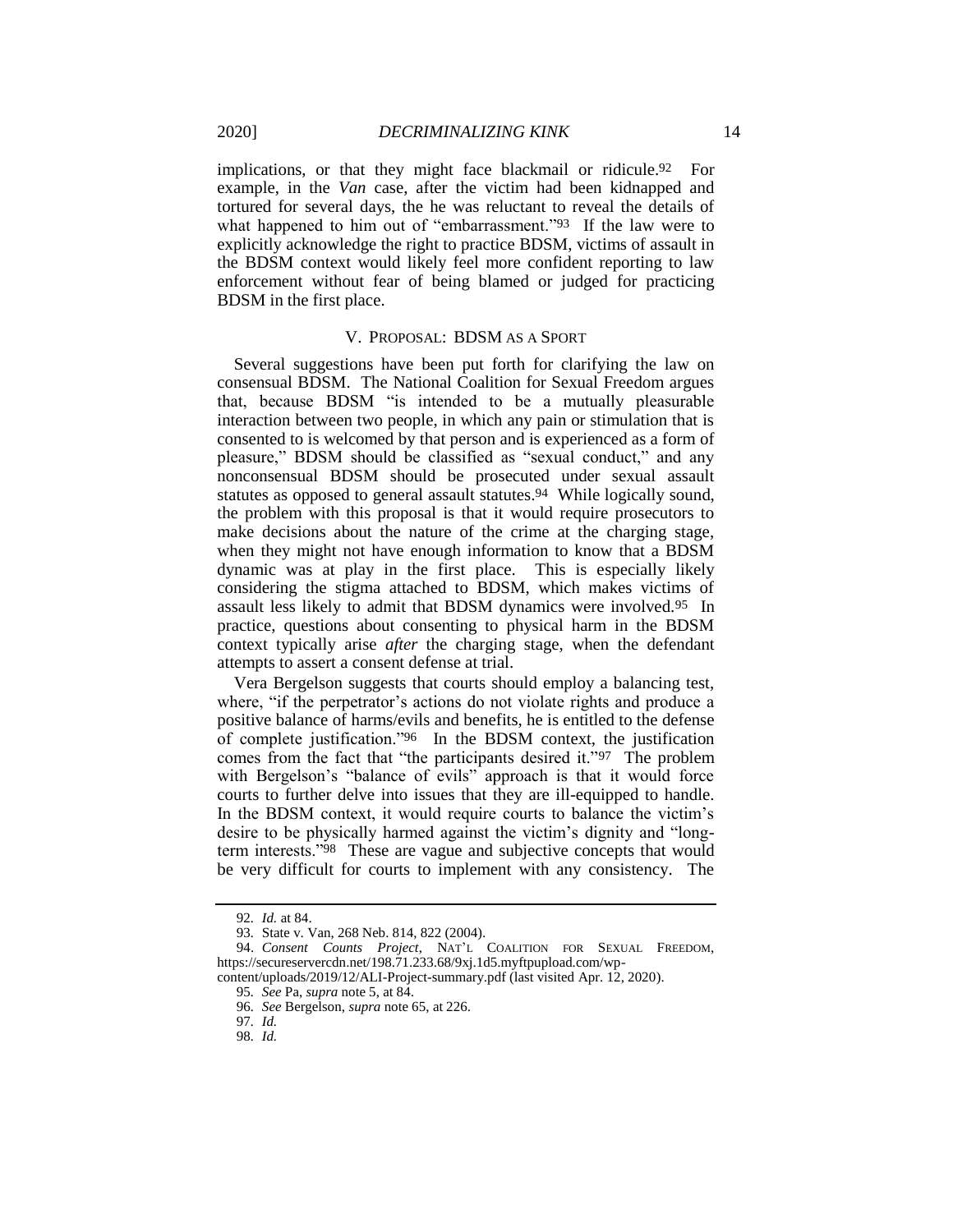implications, or that they might face blackmail or ridicule.92 For example, in the *Van* case, after the victim had been kidnapped and tortured for several days, the he was reluctant to reveal the details of what happened to him out of "embarrassment."<sup>93</sup> If the law were to explicitly acknowledge the right to practice BDSM, victims of assault in the BDSM context would likely feel more confident reporting to law enforcement without fear of being blamed or judged for practicing BDSM in the first place.

### V. PROPOSAL: BDSM AS A SPORT

Several suggestions have been put forth for clarifying the law on consensual BDSM. The National Coalition for Sexual Freedom argues that, because BDSM "is intended to be a mutually pleasurable interaction between two people, in which any pain or stimulation that is consented to is welcomed by that person and is experienced as a form of pleasure," BDSM should be classified as "sexual conduct," and any nonconsensual BDSM should be prosecuted under sexual assault statutes as opposed to general assault statutes.<sup>94</sup> While logically sound, the problem with this proposal is that it would require prosecutors to make decisions about the nature of the crime at the charging stage, when they might not have enough information to know that a BDSM dynamic was at play in the first place. This is especially likely considering the stigma attached to BDSM, which makes victims of assault less likely to admit that BDSM dynamics were involved.95 In practice, questions about consenting to physical harm in the BDSM context typically arise *after* the charging stage, when the defendant attempts to assert a consent defense at trial.

Vera Bergelson suggests that courts should employ a balancing test, where, "if the perpetrator's actions do not violate rights and produce a positive balance of harms/evils and benefits, he is entitled to the defense of complete justification."96 In the BDSM context, the justification comes from the fact that "the participants desired it."97 The problem with Bergelson's "balance of evils" approach is that it would force courts to further delve into issues that they are ill-equipped to handle. In the BDSM context, it would require courts to balance the victim's desire to be physically harmed against the victim's dignity and "longterm interests."98 These are vague and subjective concepts that would be very difficult for courts to implement with any consistency. The

<sup>92</sup>*. Id.* at 84.

<sup>93</sup>*.* State v. Van, 268 Neb. 814, 822 (2004).

<sup>94.</sup> *Consent Counts Project*, NAT'L COALITION FOR SEXUAL FREEDOM, https://secureservercdn.net/198.71.233.68/9xj.1d5.myftpupload.com/wp-

content/uploads/2019/12/ALI-Project-summary.pdf (last visited Apr. 12, 2020).

<sup>95</sup>*. See* Pa, *supra* note 5, at 84.

<sup>96</sup>*. See* Bergelson, *supra* note 65, at 226.

<sup>97</sup>*. Id.*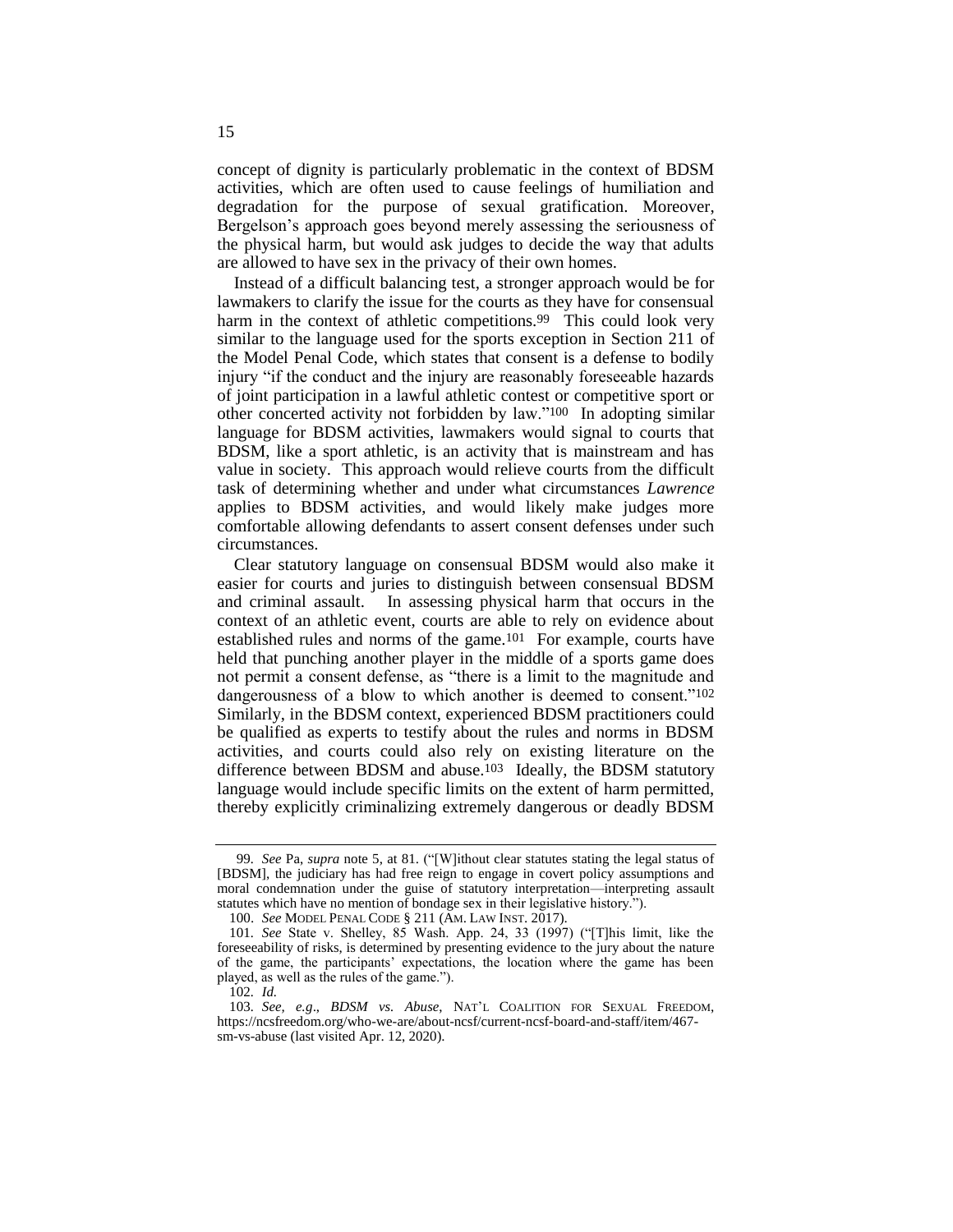concept of dignity is particularly problematic in the context of BDSM activities, which are often used to cause feelings of humiliation and degradation for the purpose of sexual gratification. Moreover, Bergelson's approach goes beyond merely assessing the seriousness of the physical harm, but would ask judges to decide the way that adults are allowed to have sex in the privacy of their own homes.

Instead of a difficult balancing test, a stronger approach would be for lawmakers to clarify the issue for the courts as they have for consensual harm in the context of athletic competitions.<sup>99</sup> This could look very similar to the language used for the sports exception in Section 211 of the Model Penal Code, which states that consent is a defense to bodily injury "if the conduct and the injury are reasonably foreseeable hazards of joint participation in a lawful athletic contest or competitive sport or other concerted activity not forbidden by law."100 In adopting similar language for BDSM activities, lawmakers would signal to courts that BDSM, like a sport athletic, is an activity that is mainstream and has value in society. This approach would relieve courts from the difficult task of determining whether and under what circumstances *Lawrence*  applies to BDSM activities, and would likely make judges more comfortable allowing defendants to assert consent defenses under such circumstances.

Clear statutory language on consensual BDSM would also make it easier for courts and juries to distinguish between consensual BDSM and criminal assault. In assessing physical harm that occurs in the context of an athletic event, courts are able to rely on evidence about established rules and norms of the game.101 For example, courts have held that punching another player in the middle of a sports game does not permit a consent defense, as "there is a limit to the magnitude and dangerousness of a blow to which another is deemed to consent."102 Similarly, in the BDSM context, experienced BDSM practitioners could be qualified as experts to testify about the rules and norms in BDSM activities, and courts could also rely on existing literature on the difference between BDSM and abuse.103 Ideally, the BDSM statutory language would include specific limits on the extent of harm permitted, thereby explicitly criminalizing extremely dangerous or deadly BDSM

<sup>99</sup>*. See* Pa, *supra* note 5, at 81. ("[W]ithout clear statutes stating the legal status of [BDSM], the judiciary has had free reign to engage in covert policy assumptions and moral condemnation under the guise of statutory interpretation—interpreting assault statutes which have no mention of bondage sex in their legislative history.").

<sup>100.</sup> *See* MODEL PENAL CODE § 211 (AM. LAW INST. 2017).

<sup>101</sup>*. See* State v. Shelley, 85 Wash. App. 24, 33 (1997) ("[T]his limit, like the foreseeability of risks, is determined by presenting evidence to the jury about the nature of the game, the participants' expectations, the location where the game has been played, as well as the rules of the game.").

<sup>102</sup>*. Id.*

<sup>103</sup>*. See, e.g*., *BDSM vs. Abuse*, NAT'L COALITION FOR SEXUAL FREEDOM, https://ncsfreedom.org/who-we-are/about-ncsf/current-ncsf-board-and-staff/item/467 sm-vs-abuse (last visited Apr. 12, 2020).